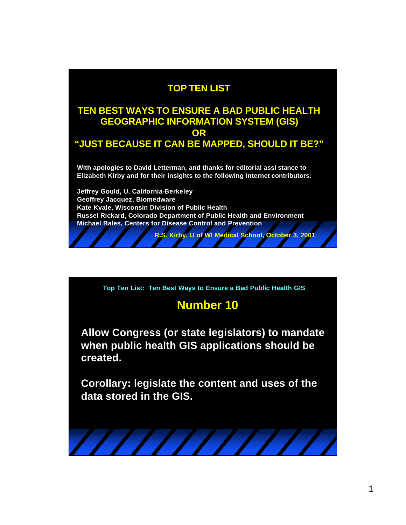#### **TOP TEN LIST**

#### **TEN BEST WAYS TO ENSURE A BAD PUBLIC HEALTH GEOGRAPHIC INFORMATION SYSTEM (GIS) OR "JUST BECAUSE IT CAN BE MAPPED, SHOULD IT BE?"**

**With apologies to David Letterman, and thanks for editorial assi stance to Elizabeth Kirby and for their insights to the following Internet contributors:** 

**Jeffrey Gould, U. California-Berkeley Geoffrey Jacquez, Biomedware Kate Kvale, Wisconsin Division of Public Health Russel Rickard, Colorado Department of Public Health and Environment Michael Bales, Centers for Disease Control and Prevention**

**Top Ten List: Ten Best Ways to Ensure a Bad Public Health GIS**

#### **Number 10**

**R.S. Kirby, U of WI Medical School, October 3, 2001**

**Allow Congress (or state legislators) to mandate when public health GIS applications should be created.**

**Corollary: legislate the content and uses of the data stored in the GIS.**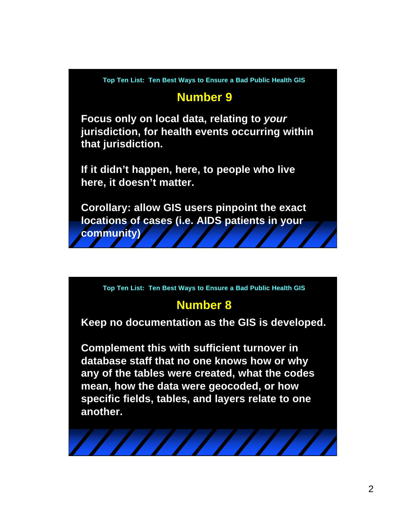#### **Number 9**

**Focus only on local data, relating to** *your* **jurisdiction, for health events occurring within that jurisdiction.** 

**If it didn't happen, here, to people who live here, it doesn't matter.**

**Corollary: allow GIS users pinpoint the exact locations of cases (i.e. AIDS patients in your community)** 

**Top Ten List: Ten Best Ways to Ensure a Bad Public Health GIS**

## **Number 8**

**Keep no documentation as the GIS is developed.**

**Complement this with sufficient turnover in database staff that no one knows how or why any of the tables were created, what the codes mean, how the data were geocoded, or how specific fields, tables, and layers relate to one another.**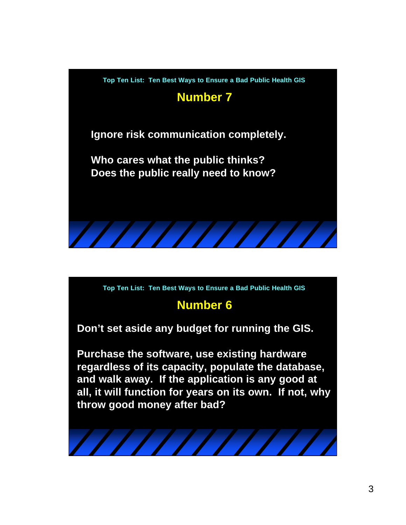

# **Number 6**

**Don't set aside any budget for running the GIS.**

**Purchase the software, use existing hardware regardless of its capacity, populate the database, and walk away. If the application is any good at all, it will function for years on its own. If not, why throw good money after bad?**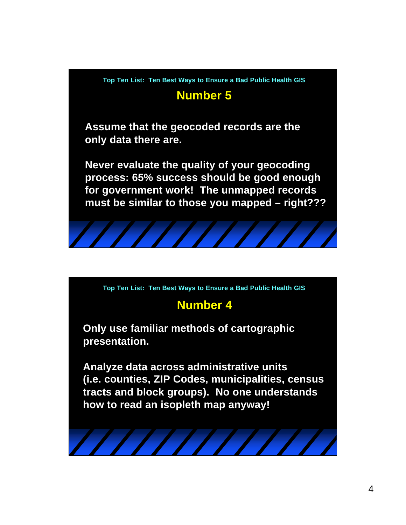



# **Number 4**

**Only use familiar methods of cartographic presentation.**

**Analyze data across administrative units (i.e. counties, ZIP Codes, municipalities, census tracts and block groups). No one understands how to read an isopleth map anyway!**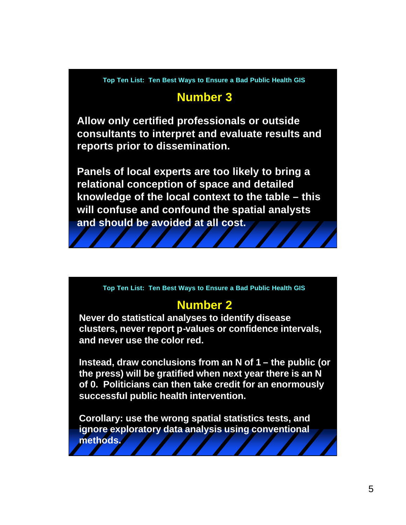# **Number 3**

**Allow only certified professionals or outside consultants to interpret and evaluate results and reports prior to dissemination.** 

**Panels of local experts are too likely to bring a relational conception of space and detailed knowledge of the local context to the table – this will confuse and confound the spatial analysts and should be avoided at all cost.**

**Top Ten List: Ten Best Ways to Ensure a Bad Public Health GIS**

## **Number 2**

**Never do statistical analyses to identify disease clusters, never report p-values or confidence intervals, and never use the color red.**

**Instead, draw conclusions from an N of 1 – the public (or the press) will be gratified when next year there is an N of 0. Politicians can then take credit for an enormously successful public health intervention.**

**Corollary: use the wrong spatial statistics tests, and ignore exploratory data analysis using conventional methods.**